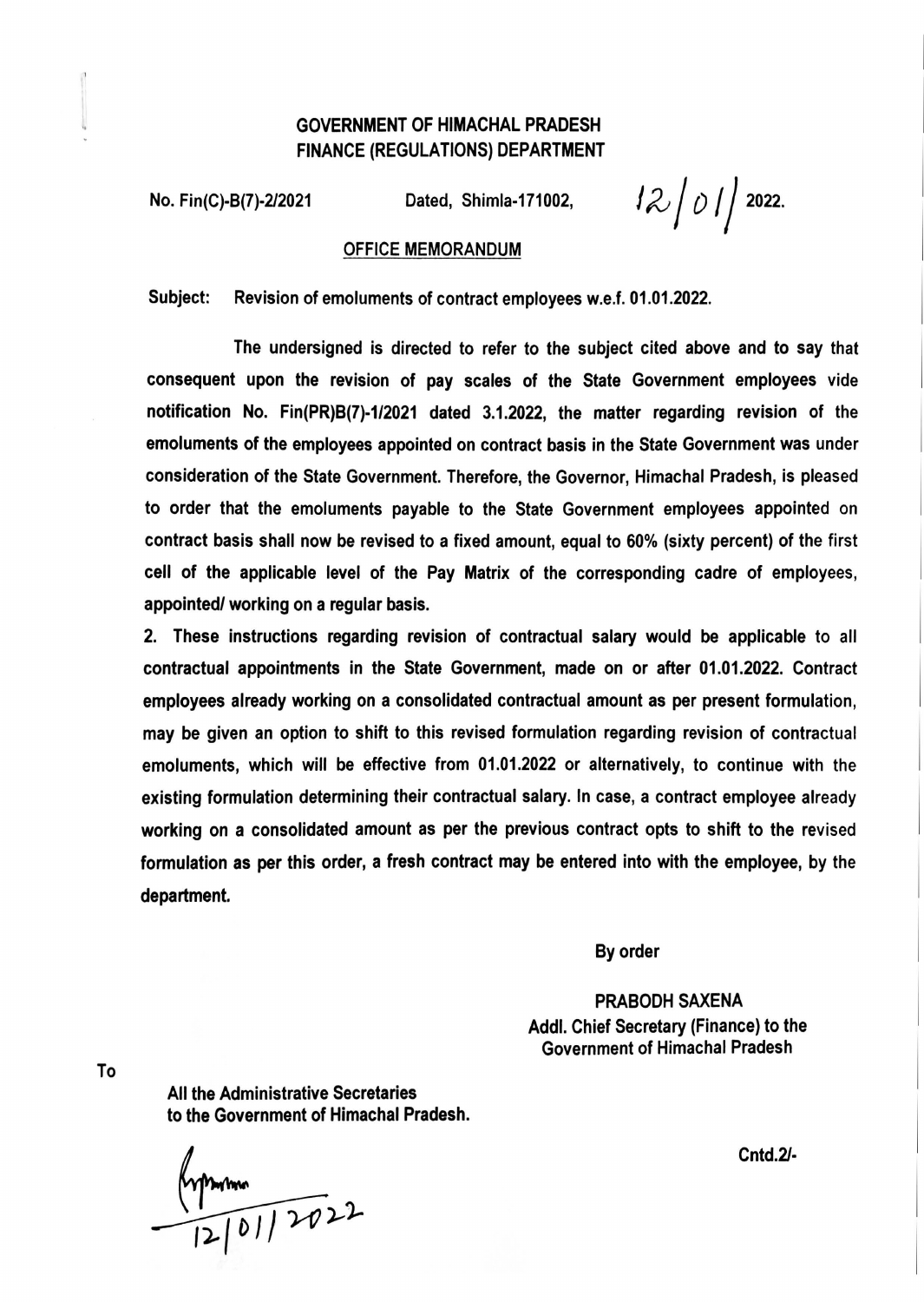## GOVERNMENT OF HIMACHAL PRADESH FINANCE (REGULATIONS) DEPARTMENT

No. Fin(C)-B(7)-2/2021 Dated, Shimla-171002,  $12\int\mathcal{O}\int\int 2022$ .

## OFFICE MEMORANDUM

Subject: Revision of emoluments of contract employees w.e.f. 01.01.2022.

The undersigned is directed to refer to the subject cited above and to say that consequent upon the revision of pay scales of the State Government employees vide notification No. Fin(PR)B(7)·1/2021 dated 3.1.2022, the matter regarding revision of the emoluments of the employees appointed on contract basis in the State Government was under consideration of the State Government. Therefore, the Governor, Himachal Pradesh, is pleased to order that the emoluments payable to the State Government employees appointed on contract basis shall now be revised to a fixed amount, equal to 60% (sixty percent) of the first cell of the applicable level of the Pay Matrix of the corresponding cadre of employees, appointed/ working on a regular basis.

2. These instructions regarding revision of contractual salary would be applicable to all contractual appointments in the State Government, made on or after 01.01.2022. Contract employees already working on a consolidated contractual amount as per present formulation, may be given an option to shift to this revised formulation regarding revision of contractual emoluments, which will be effective from 01 .01.2022 or alternatively, to continue with the existing formulation determining their contractual salary. In case, a contract employee already working on a consolidated amount as per the previous contract opts to shift to the revised formulation as per this order, a fresh contract may be entered into with the employee, by the department.

By order

PRABODH SAXENA Addl. Chief Secretary (Finance) to the Government of Himachal Pradesh

To

All the Administrative Secretaries to the Government of Himachal Pradesh.

 $\frac{442}{12}$  01/2022

Cntd.21·